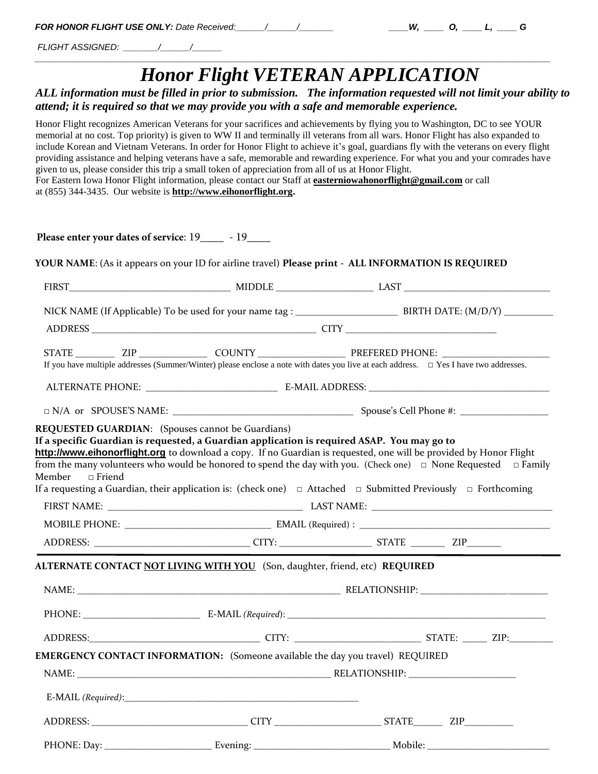| <b>FOR HONOR FLIGHT USE ONLY: Date Received:</b> |  |
|--------------------------------------------------|--|
|--------------------------------------------------|--|

*FLIGHT ASSIGNED: \_\_\_\_\_\_\_/\_\_\_\_\_\_/\_\_\_\_\_\_*

## *Honor Flight VETERAN APPLICATION*

*H<sub>y</sub> <i>D<sub>i</sub> <u><i>D<sub>i</sub> \_\_\_\_ L<sub>i</sub> \_\_\_ G*</u>

## *ALL information must be filled in prior to submission. The information requested will not limit your ability to attend; it is required so that we may provide you with a safe and memorable experience.*

*\_\_\_\_\_\_\_\_\_\_\_\_\_\_\_\_\_\_\_\_\_\_\_\_\_\_\_\_\_\_\_\_\_\_\_\_\_\_\_\_\_\_\_\_\_\_\_\_\_\_\_\_\_\_\_\_\_\_\_\_\_\_\_\_\_\_\_\_\_\_\_\_\_\_\_\_\_\_\_\_\_\_\_\_\_\_\_\_\_\_\_\_\_\_\_*

Honor Flight recognizes American Veterans for your sacrifices and achievements by flying you to Washington, DC to see YOUR memorial at no cost. Top priority) is given to WW II and terminally ill veterans from all wars. Honor Flight has also expanded to include Korean and Vietnam Veterans. In order for Honor Flight to achieve it's goal, guardians fly with the veterans on every flight providing assistance and helping veterans have a safe, memorable and rewarding experience. For what you and your comrades have given to us, please consider this trip a small token of appreciation from all of us at Honor Flight. For Eastern Iowa Honor Flight information, please contact our Staff at **easterniowahonorflight@gmail.com** or call at (855) 344-3435. Our website is **http://www.eihonorflight.org.**

| Please enter your dates of service: 19______ - 19_____ |                                                                                             |                                                                                                                                                                                                                                                                                                                                                                                |  |  |
|--------------------------------------------------------|---------------------------------------------------------------------------------------------|--------------------------------------------------------------------------------------------------------------------------------------------------------------------------------------------------------------------------------------------------------------------------------------------------------------------------------------------------------------------------------|--|--|
|                                                        |                                                                                             | YOUR NAME: (As it appears on your ID for airline travel) Please print - ALL INFORMATION IS REQUIRED                                                                                                                                                                                                                                                                            |  |  |
|                                                        |                                                                                             |                                                                                                                                                                                                                                                                                                                                                                                |  |  |
|                                                        |                                                                                             |                                                                                                                                                                                                                                                                                                                                                                                |  |  |
|                                                        |                                                                                             |                                                                                                                                                                                                                                                                                                                                                                                |  |  |
|                                                        |                                                                                             |                                                                                                                                                                                                                                                                                                                                                                                |  |  |
|                                                        |                                                                                             | If you have multiple addresses (Summer/Winter) please enclose a note with dates you live at each address. $\Box$ Yes I have two addresses.                                                                                                                                                                                                                                     |  |  |
|                                                        |                                                                                             |                                                                                                                                                                                                                                                                                                                                                                                |  |  |
|                                                        |                                                                                             |                                                                                                                                                                                                                                                                                                                                                                                |  |  |
| Member<br>$\Box$ Friend                                | If a specific Guardian is requested, a Guardian application is required ASAP. You may go to | http://www.eihonorflight.org to download a copy. If no Guardian is requested, one will be provided by Honor Flight<br>from the many volunteers who would be honored to spend the day with you. (Check one) $\Box$ None Requested $\Box$ Family<br>If a requesting a Guardian, their application is: (check one) $\Box$ Attached $\Box$ Submitted Previously $\Box$ Forthcoming |  |  |
|                                                        |                                                                                             |                                                                                                                                                                                                                                                                                                                                                                                |  |  |
|                                                        |                                                                                             |                                                                                                                                                                                                                                                                                                                                                                                |  |  |
|                                                        |                                                                                             |                                                                                                                                                                                                                                                                                                                                                                                |  |  |
|                                                        | ALTERNATE CONTACT NOT LIVING WITH YOU (Son, daughter, friend, etc) REQUIRED                 |                                                                                                                                                                                                                                                                                                                                                                                |  |  |
|                                                        |                                                                                             |                                                                                                                                                                                                                                                                                                                                                                                |  |  |
|                                                        |                                                                                             |                                                                                                                                                                                                                                                                                                                                                                                |  |  |
|                                                        |                                                                                             | ADDRESS: ZIP: CITY: CITY: CITY: STATE: CITY: STATE: ZIP:                                                                                                                                                                                                                                                                                                                       |  |  |
|                                                        | EMERGENCY CONTACT INFORMATION: (Someone available the day you travel) REQUIRED              |                                                                                                                                                                                                                                                                                                                                                                                |  |  |
| NAME:                                                  |                                                                                             |                                                                                                                                                                                                                                                                                                                                                                                |  |  |
|                                                        |                                                                                             |                                                                                                                                                                                                                                                                                                                                                                                |  |  |
|                                                        |                                                                                             |                                                                                                                                                                                                                                                                                                                                                                                |  |  |
|                                                        |                                                                                             |                                                                                                                                                                                                                                                                                                                                                                                |  |  |